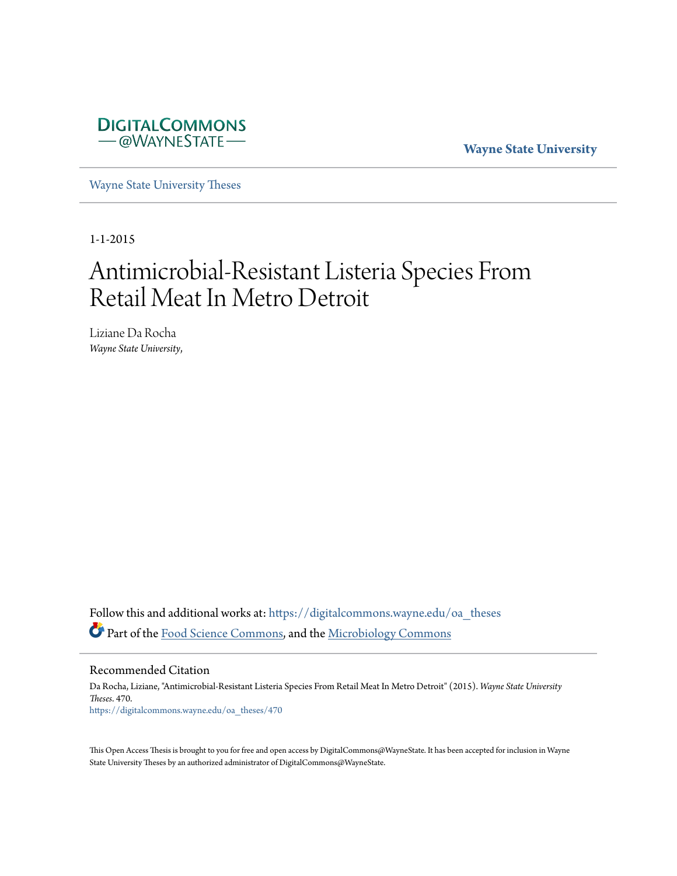

**Wayne State University**

[Wayne State University Theses](https://digitalcommons.wayne.edu/oa_theses?utm_source=digitalcommons.wayne.edu%2Foa_theses%2F470&utm_medium=PDF&utm_campaign=PDFCoverPages)

1-1-2015

# Antimicrobial-Resistant Listeria Species From Retail Meat In Metro Detroit

Liziane Da Rocha *Wayne State University*,

Follow this and additional works at: [https://digitalcommons.wayne.edu/oa\\_theses](https://digitalcommons.wayne.edu/oa_theses?utm_source=digitalcommons.wayne.edu%2Foa_theses%2F470&utm_medium=PDF&utm_campaign=PDFCoverPages) Part of the [Food Science Commons](http://network.bepress.com/hgg/discipline/84?utm_source=digitalcommons.wayne.edu%2Foa_theses%2F470&utm_medium=PDF&utm_campaign=PDFCoverPages), and the [Microbiology Commons](http://network.bepress.com/hgg/discipline/48?utm_source=digitalcommons.wayne.edu%2Foa_theses%2F470&utm_medium=PDF&utm_campaign=PDFCoverPages)

Recommended Citation

Da Rocha, Liziane, "Antimicrobial-Resistant Listeria Species From Retail Meat In Metro Detroit" (2015). *Wayne State University Theses*. 470. [https://digitalcommons.wayne.edu/oa\\_theses/470](https://digitalcommons.wayne.edu/oa_theses/470?utm_source=digitalcommons.wayne.edu%2Foa_theses%2F470&utm_medium=PDF&utm_campaign=PDFCoverPages)

This Open Access Thesis is brought to you for free and open access by DigitalCommons@WayneState. It has been accepted for inclusion in Wayne State University Theses by an authorized administrator of DigitalCommons@WayneState.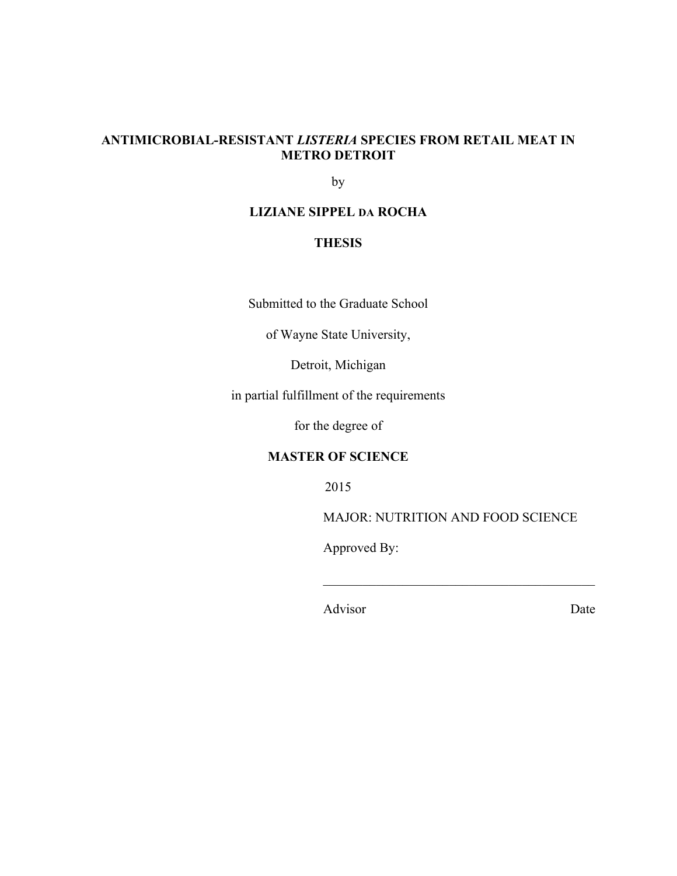# **ANTIMICROBIAL-RESISTANT** *LISTERIA* **SPECIES FROM RETAIL MEAT IN METRO DETROIT**

by

## **LIZIANE SIPPEL DA ROCHA**

## **THESIS**

Submitted to the Graduate School

of Wayne State University,

Detroit, Michigan

in partial fulfillment of the requirements

for the degree of

## **MASTER OF SCIENCE**

2015

MAJOR: NUTRITION AND FOOD SCIENCE

 $\mathcal{L}_\text{max}$  , and the set of the set of the set of the set of the set of the set of the set of the set of the set of the set of the set of the set of the set of the set of the set of the set of the set of the set of the

Approved By:

Advisor Date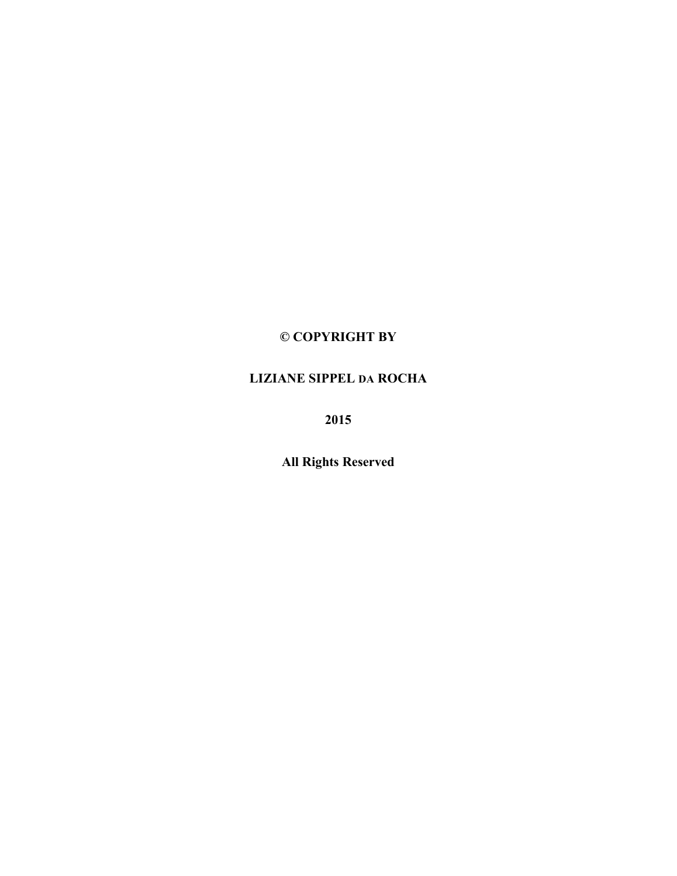# **© COPYRIGHT BY**

# **LIZIANE SIPPEL DA ROCHA**

**2015**

**All Rights Reserved**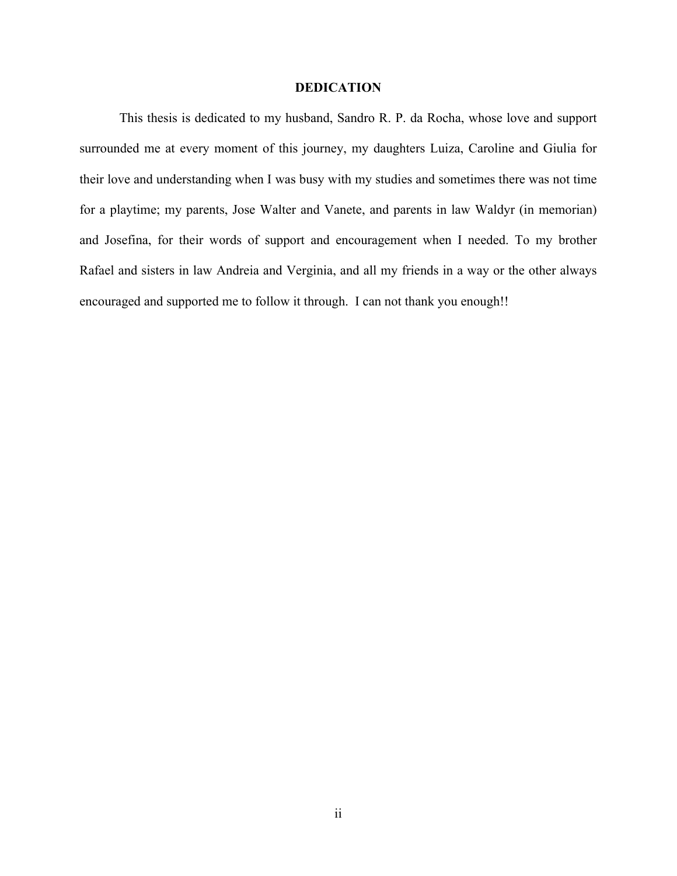#### **DEDICATION**

This thesis is dedicated to my husband, Sandro R. P. da Rocha, whose love and support surrounded me at every moment of this journey, my daughters Luiza, Caroline and Giulia for their love and understanding when I was busy with my studies and sometimes there was not time for a playtime; my parents, Jose Walter and Vanete, and parents in law Waldyr (in memorian) and Josefina, for their words of support and encouragement when I needed. To my brother Rafael and sisters in law Andreia and Verginia, and all my friends in a way or the other always encouraged and supported me to follow it through. I can not thank you enough!!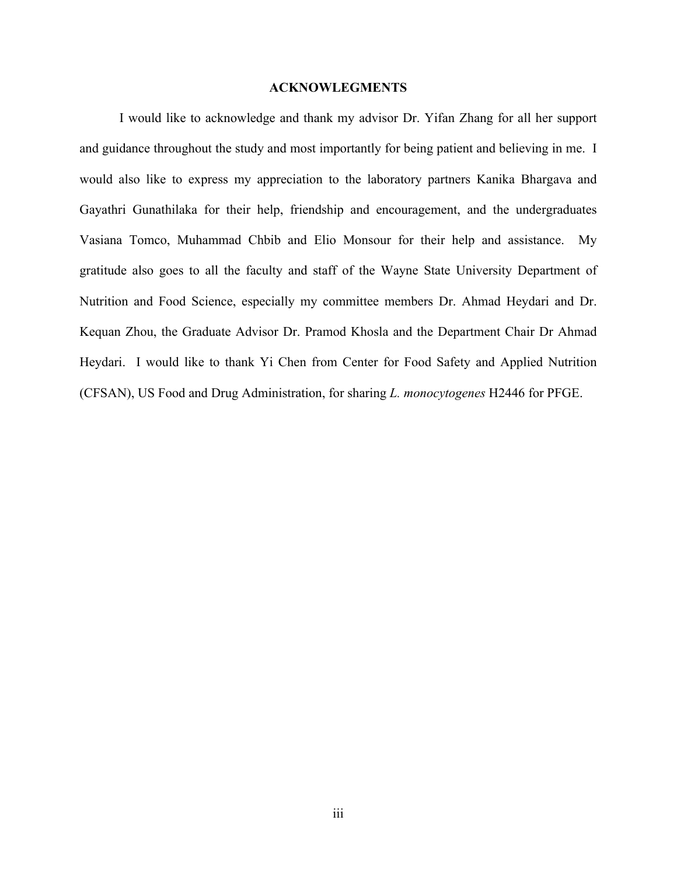#### **ACKNOWLEGMENTS**

I would like to acknowledge and thank my advisor Dr. Yifan Zhang for all her support and guidance throughout the study and most importantly for being patient and believing in me. I would also like to express my appreciation to the laboratory partners Kanika Bhargava and Gayathri Gunathilaka for their help, friendship and encouragement, and the undergraduates Vasiana Tomco, Muhammad Chbib and Elio Monsour for their help and assistance. My gratitude also goes to all the faculty and staff of the Wayne State University Department of Nutrition and Food Science, especially my committee members Dr. Ahmad Heydari and Dr. Kequan Zhou, the Graduate Advisor Dr. Pramod Khosla and the Department Chair Dr Ahmad Heydari. I would like to thank Yi Chen from Center for Food Safety and Applied Nutrition (CFSAN), US Food and Drug Administration, for sharing *L. monocytogenes* H2446 for PFGE.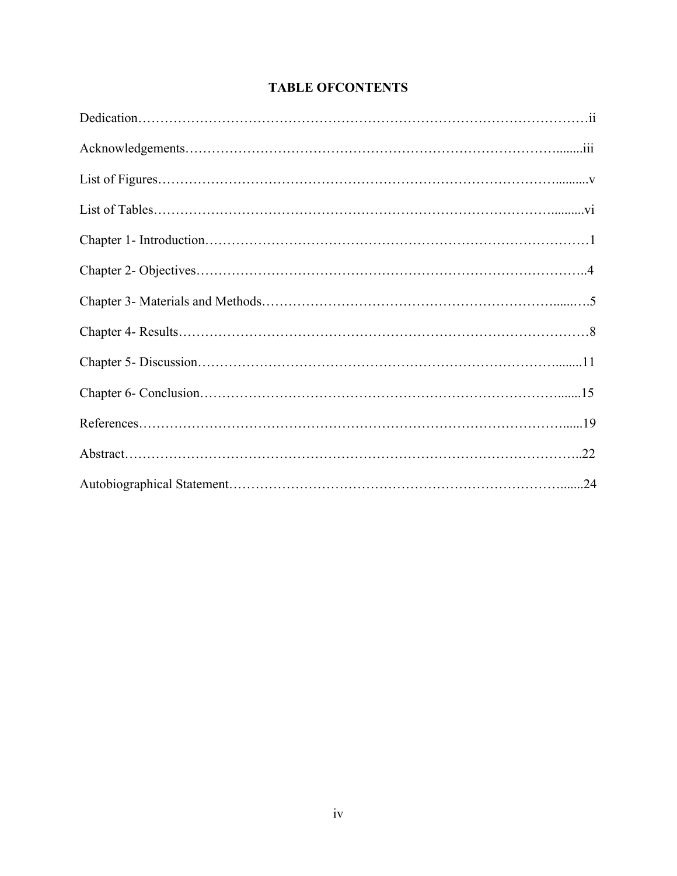# **TABLE OFCONTENTS**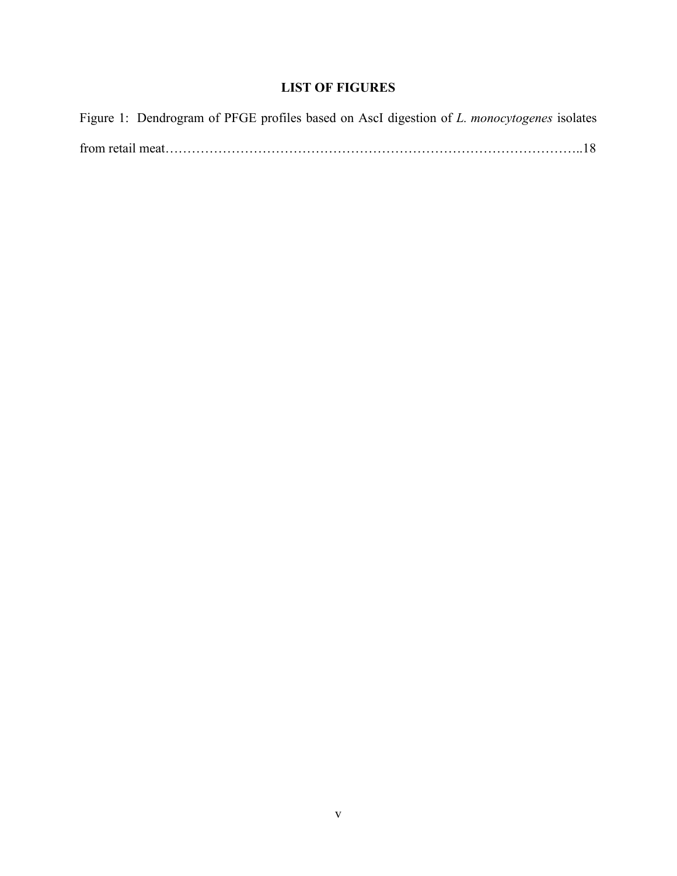# **LIST OF FIGURES**

|  |  |  |  | Figure 1: Dendrogram of PFGE profiles based on AscI digestion of <i>L. monocytogenes</i> isolates |  |
|--|--|--|--|---------------------------------------------------------------------------------------------------|--|
|  |  |  |  |                                                                                                   |  |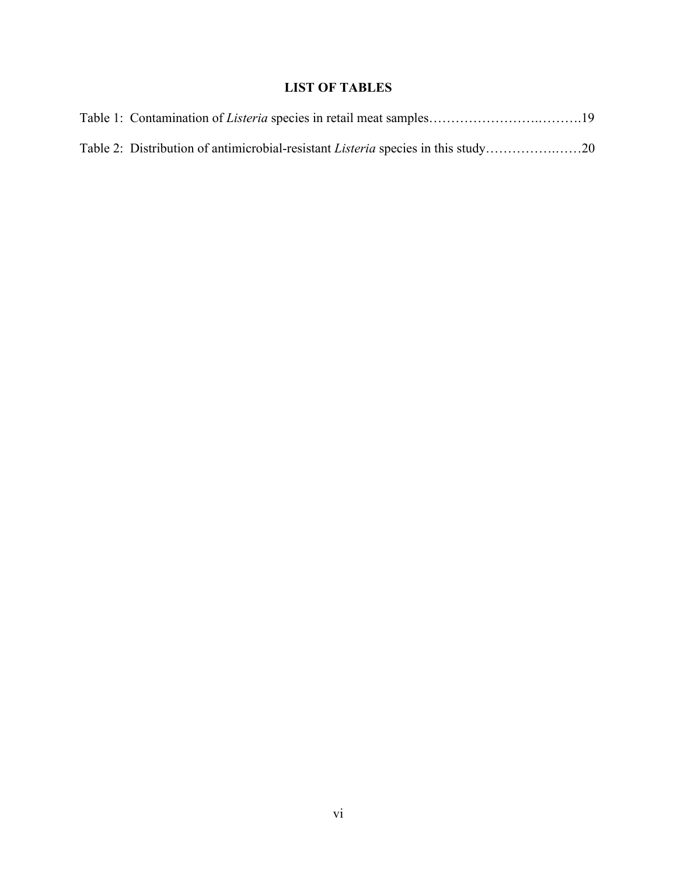# **LIST OF TABLES**

| Table 2: Distribution of antimicrobial-resistant <i>Listeria</i> species in this study20 |  |
|------------------------------------------------------------------------------------------|--|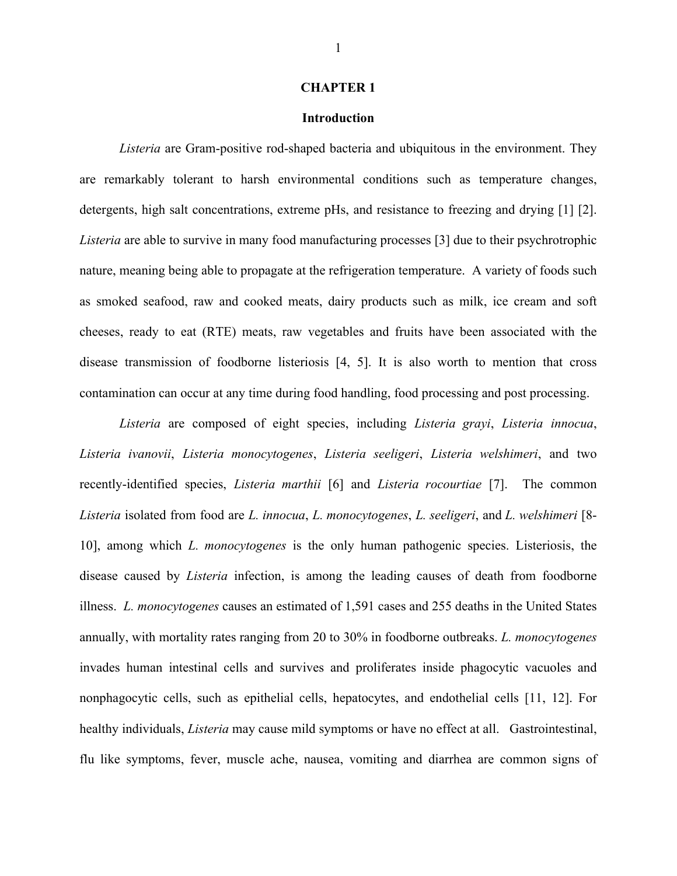#### **Introduction**

*Listeria* are Gram-positive rod-shaped bacteria and ubiquitous in the environment. They are remarkably tolerant to harsh environmental conditions such as temperature changes, detergents, high salt concentrations, extreme pHs, and resistance to freezing and drying [1] [2]. *Listeria* are able to survive in many food manufacturing processes [3] due to their psychrotrophic nature, meaning being able to propagate at the refrigeration temperature. A variety of foods such as smoked seafood, raw and cooked meats, dairy products such as milk, ice cream and soft cheeses, ready to eat (RTE) meats, raw vegetables and fruits have been associated with the disease transmission of foodborne listeriosis [4, 5]. It is also worth to mention that cross contamination can occur at any time during food handling, food processing and post processing.

*Listeria* are composed of eight species, including *Listeria grayi*, *Listeria innocua*, *Listeria ivanovii*, *Listeria monocytogenes*, *Listeria seeligeri*, *Listeria welshimeri*, and two recently-identified species, *Listeria marthii* [6] and *Listeria rocourtiae* [7]. The common *Listeria* isolated from food are *L. innocua*, *L. monocytogenes*, *L. seeligeri*, and *L. welshimeri* [8- 10], among which *L. monocytogenes* is the only human pathogenic species. Listeriosis, the disease caused by *Listeria* infection, is among the leading causes of death from foodborne illness. *L. monocytogenes* causes an estimated of 1,591 cases and 255 deaths in the United States annually, with mortality rates ranging from 20 to 30% in foodborne outbreaks. *L. monocytogenes* invades human intestinal cells and survives and proliferates inside phagocytic vacuoles and nonphagocytic cells, such as epithelial cells, hepatocytes, and endothelial cells [11, 12]. For healthy individuals, *Listeria* may cause mild symptoms or have no effect at all. Gastrointestinal, flu like symptoms, fever, muscle ache, nausea, vomiting and diarrhea are common signs of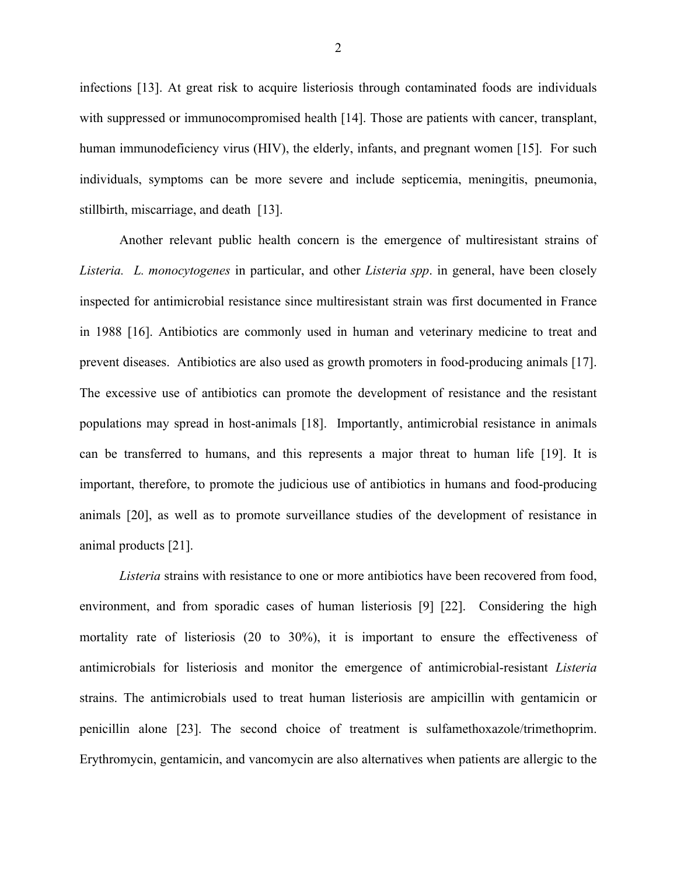infections [13]. At great risk to acquire listeriosis through contaminated foods are individuals with suppressed or immunocompromised health [14]. Those are patients with cancer, transplant, human immunodeficiency virus (HIV), the elderly, infants, and pregnant women [15]. For such individuals, symptoms can be more severe and include septicemia, meningitis, pneumonia, stillbirth, miscarriage, and death [13].

Another relevant public health concern is the emergence of multiresistant strains of *Listeria. L. monocytogenes* in particular, and other *Listeria spp*. in general, have been closely inspected for antimicrobial resistance since multiresistant strain was first documented in France in 1988 [16]. Antibiotics are commonly used in human and veterinary medicine to treat and prevent diseases. Antibiotics are also used as growth promoters in food-producing animals [17]. The excessive use of antibiotics can promote the development of resistance and the resistant populations may spread in host-animals [18]. Importantly, antimicrobial resistance in animals can be transferred to humans, and this represents a major threat to human life [19]. It is important, therefore, to promote the judicious use of antibiotics in humans and food-producing animals [20], as well as to promote surveillance studies of the development of resistance in animal products [21].

*Listeria* strains with resistance to one or more antibiotics have been recovered from food, environment, and from sporadic cases of human listeriosis [9] [22]. Considering the high mortality rate of listeriosis (20 to 30%), it is important to ensure the effectiveness of antimicrobials for listeriosis and monitor the emergence of antimicrobial-resistant *Listeria* strains. The antimicrobials used to treat human listeriosis are ampicillin with gentamicin or penicillin alone [23]. The second choice of treatment is sulfamethoxazole/trimethoprim. Erythromycin, gentamicin, and vancomycin are also alternatives when patients are allergic to the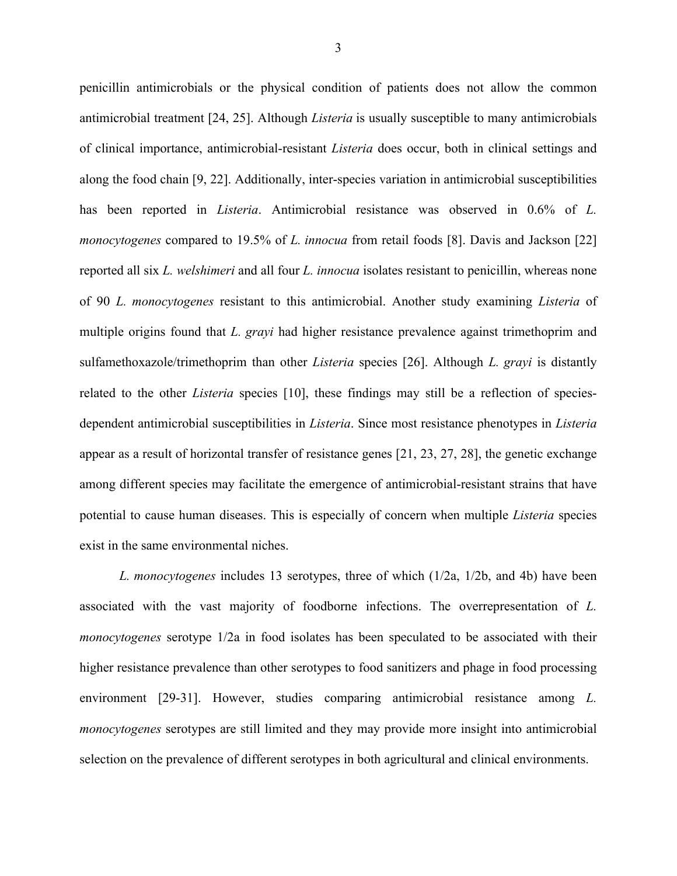penicillin antimicrobials or the physical condition of patients does not allow the common antimicrobial treatment [24, 25]. Although *Listeria* is usually susceptible to many antimicrobials of clinical importance, antimicrobial-resistant *Listeria* does occur, both in clinical settings and along the food chain [9, 22]. Additionally, inter-species variation in antimicrobial susceptibilities has been reported in *Listeria*. Antimicrobial resistance was observed in 0.6% of *L. monocytogenes* compared to 19.5% of *L. innocua* from retail foods [8]. Davis and Jackson [22] reported all six *L. welshimeri* and all four *L. innocua* isolates resistant to penicillin, whereas none of 90 *L. monocytogenes* resistant to this antimicrobial. Another study examining *Listeria* of multiple origins found that *L. grayi* had higher resistance prevalence against trimethoprim and sulfamethoxazole/trimethoprim than other *Listeria* species [26]. Although *L. grayi* is distantly related to the other *Listeria* species [10], these findings may still be a reflection of speciesdependent antimicrobial susceptibilities in *Listeria*. Since most resistance phenotypes in *Listeria* appear as a result of horizontal transfer of resistance genes [21, 23, 27, 28], the genetic exchange among different species may facilitate the emergence of antimicrobial-resistant strains that have potential to cause human diseases. This is especially of concern when multiple *Listeria* species exist in the same environmental niches.

*L. monocytogenes* includes 13 serotypes, three of which (1/2a, 1/2b, and 4b) have been associated with the vast majority of foodborne infections. The overrepresentation of *L. monocytogenes* serotype 1/2a in food isolates has been speculated to be associated with their higher resistance prevalence than other serotypes to food sanitizers and phage in food processing environment [29-31]. However, studies comparing antimicrobial resistance among *L. monocytogenes* serotypes are still limited and they may provide more insight into antimicrobial selection on the prevalence of different serotypes in both agricultural and clinical environments.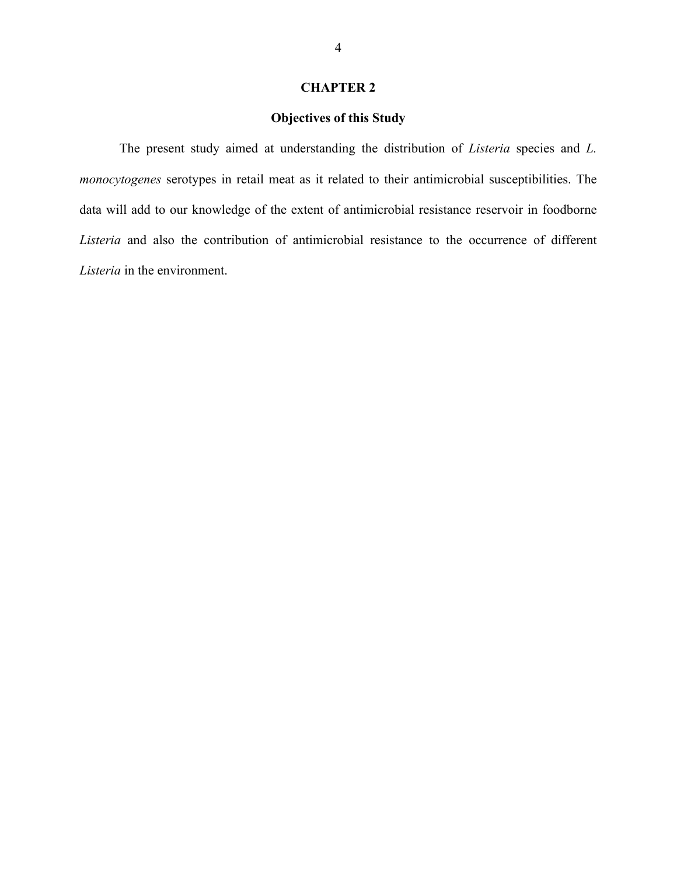## **Objectives of this Study**

The present study aimed at understanding the distribution of *Listeria* species and *L. monocytogenes* serotypes in retail meat as it related to their antimicrobial susceptibilities. The data will add to our knowledge of the extent of antimicrobial resistance reservoir in foodborne *Listeria* and also the contribution of antimicrobial resistance to the occurrence of different *Listeria* in the environment.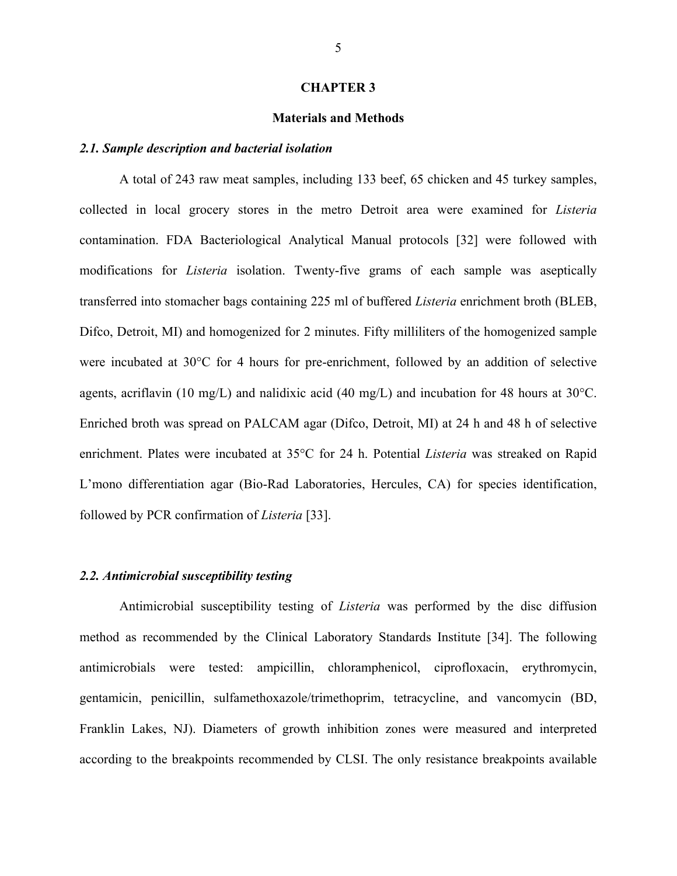#### **Materials and Methods**

#### *2.1. Sample description and bacterial isolation*

A total of 243 raw meat samples, including 133 beef, 65 chicken and 45 turkey samples, collected in local grocery stores in the metro Detroit area were examined for *Listeria* contamination. FDA Bacteriological Analytical Manual protocols [32] were followed with modifications for *Listeria* isolation. Twenty-five grams of each sample was aseptically transferred into stomacher bags containing 225 ml of buffered *Listeria* enrichment broth (BLEB, Difco, Detroit, MI) and homogenized for 2 minutes. Fifty milliliters of the homogenized sample were incubated at 30°C for 4 hours for pre-enrichment, followed by an addition of selective agents, acriflavin (10 mg/L) and nalidixic acid (40 mg/L) and incubation for 48 hours at 30°C. Enriched broth was spread on PALCAM agar (Difco, Detroit, MI) at 24 h and 48 h of selective enrichment. Plates were incubated at 35°C for 24 h. Potential *Listeria* was streaked on Rapid L'mono differentiation agar (Bio-Rad Laboratories, Hercules, CA) for species identification, followed by PCR confirmation of *Listeria* [33].

#### *2.2. Antimicrobial susceptibility testing*

Antimicrobial susceptibility testing of *Listeria* was performed by the disc diffusion method as recommended by the Clinical Laboratory Standards Institute [34]. The following antimicrobials were tested: ampicillin, chloramphenicol, ciprofloxacin, erythromycin, gentamicin, penicillin, sulfamethoxazole/trimethoprim, tetracycline, and vancomycin (BD, Franklin Lakes, NJ). Diameters of growth inhibition zones were measured and interpreted according to the breakpoints recommended by CLSI. The only resistance breakpoints available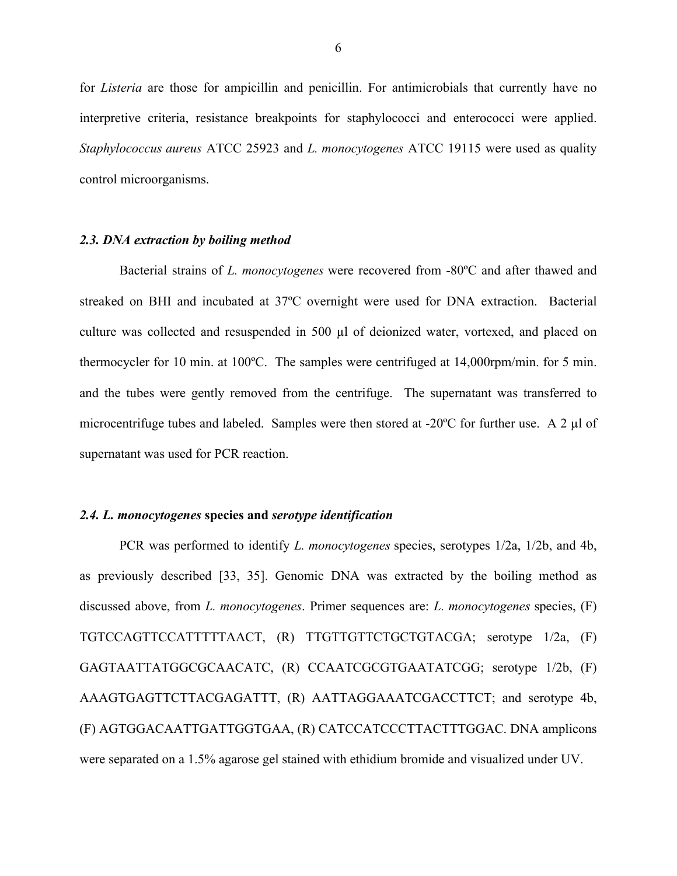for *Listeria* are those for ampicillin and penicillin. For antimicrobials that currently have no interpretive criteria, resistance breakpoints for staphylococci and enterococci were applied. *Staphylococcus aureus* ATCC 25923 and *L. monocytogenes* ATCC 19115 were used as quality control microorganisms.

#### *2.3. DNA extraction by boiling method*

Bacterial strains of *L. monocytogenes* were recovered from -80ºC and after thawed and streaked on BHI and incubated at 37ºC overnight were used for DNA extraction. Bacterial culture was collected and resuspended in 500 µl of deionized water, vortexed, and placed on thermocycler for 10 min. at 100ºC. The samples were centrifuged at 14,000rpm/min. for 5 min. and the tubes were gently removed from the centrifuge. The supernatant was transferred to microcentrifuge tubes and labeled. Samples were then stored at  $-20^{\circ}$ C for further use. A 2 µl of supernatant was used for PCR reaction.

#### *2.4. L. monocytogenes* **species and** *serotype identification*

PCR was performed to identify *L. monocytogenes* species, serotypes 1/2a, 1/2b, and 4b, as previously described [33, 35]. Genomic DNA was extracted by the boiling method as discussed above, from *L. monocytogenes*. Primer sequences are: *L. monocytogenes* species, (F) TGTCCAGTTCCATTTTTAACT, (R) TTGTTGTTCTGCTGTACGA; serotype 1/2a, (F) GAGTAATTATGGCGCAACATC, (R) CCAATCGCGTGAATATCGG; serotype 1/2b, (F) AAAGTGAGTTCTTACGAGATTT, (R) AATTAGGAAATCGACCTTCT; and serotype 4b, (F) AGTGGACAATTGATTGGTGAA, (R) CATCCATCCCTTACTTTGGAC. DNA amplicons were separated on a 1.5% agarose gel stained with ethidium bromide and visualized under UV.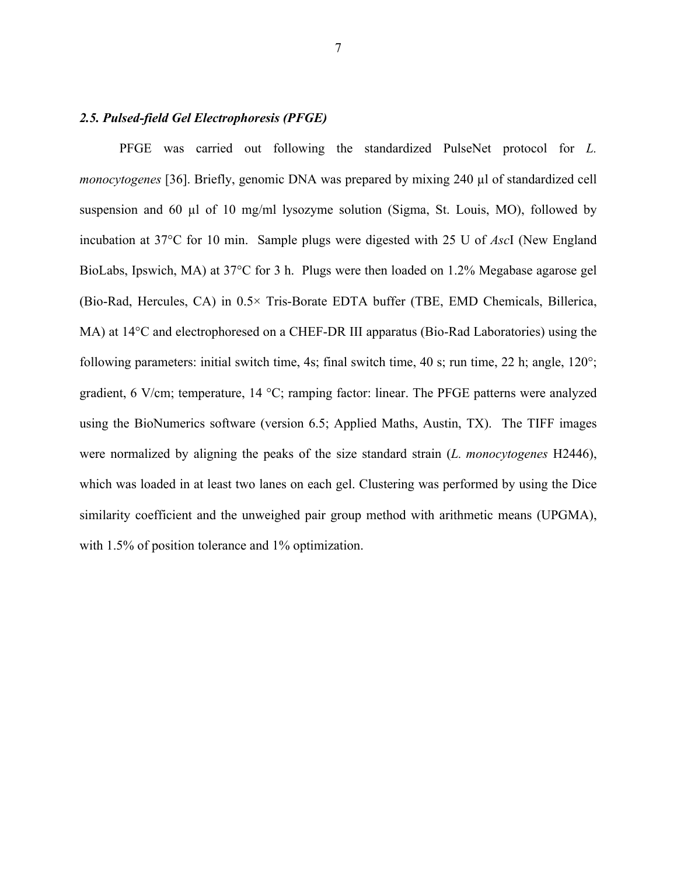### *2.5. Pulsed-field Gel Electrophoresis (PFGE)*

PFGE was carried out following the standardized PulseNet protocol for *L. monocytogenes* [36]. Briefly, genomic DNA was prepared by mixing 240 µl of standardized cell suspension and 60  $\mu$ l of 10 mg/ml lysozyme solution (Sigma, St. Louis, MO), followed by incubation at 37°C for 10 min. Sample plugs were digested with 25 U of *Asc*I (New England BioLabs, Ipswich, MA) at 37°C for 3 h. Plugs were then loaded on 1.2% Megabase agarose gel (Bio-Rad, Hercules, CA) in 0.5× Tris-Borate EDTA buffer (TBE, EMD Chemicals, Billerica, MA) at 14°C and electrophoresed on a CHEF-DR III apparatus (Bio-Rad Laboratories) using the following parameters: initial switch time, 4s; final switch time, 40 s; run time, 22 h; angle,  $120^\circ$ ; gradient, 6 V/cm; temperature, 14 °C; ramping factor: linear. The PFGE patterns were analyzed using the BioNumerics software (version 6.5; Applied Maths, Austin, TX). The TIFF images were normalized by aligning the peaks of the size standard strain (*L. monocytogenes* H2446), which was loaded in at least two lanes on each gel. Clustering was performed by using the Dice similarity coefficient and the unweighed pair group method with arithmetic means (UPGMA), with 1.5% of position tolerance and 1% optimization.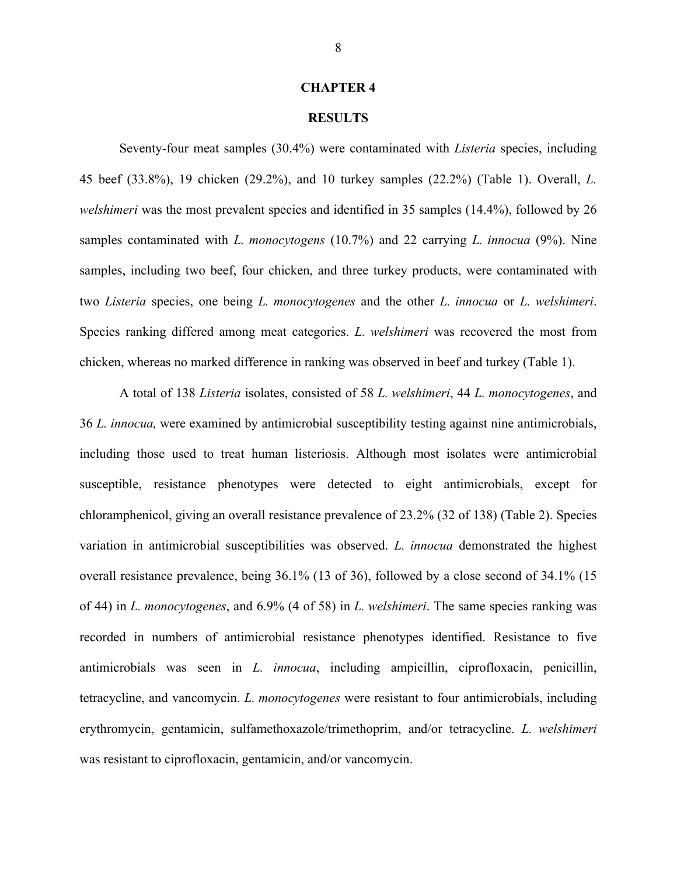#### **RESULTS**

Seventy-four meat samples (30.4%) were contaminated with *Listeria* species, including 45 beef (33.8%), 19 chicken (29.2%), and 10 turkey samples (22.2%) (Table 1). Overall, *L. welshimeri* was the most prevalent species and identified in 35 samples (14.4%), followed by 26 samples contaminated with *L. monocytogens* (10.7%) and 22 carrying *L. innocua* (9%). Nine samples, including two beef, four chicken, and three turkey products, were contaminated with two *Listeria* species, one being *L. monocytogenes* and the other *L. innocua* or *L. welshimeri*. Species ranking differed among meat categories. *L. welshimeri* was recovered the most from chicken, whereas no marked difference in ranking was observed in beef and turkey (Table 1).

A total of 138 *Listeria* isolates, consisted of 58 *L. welshimeri*, 44 *L. monocytogenes*, and 36 *L. innocua,* were examined by antimicrobial susceptibility testing against nine antimicrobials, including those used to treat human listeriosis. Although most isolates were antimicrobial susceptible, resistance phenotypes were detected to eight antimicrobials, except for chloramphenicol, giving an overall resistance prevalence of 23.2% (32 of 138) (Table 2). Species variation in antimicrobial susceptibilities was observed. *L. innocua* demonstrated the highest overall resistance prevalence, being 36.1% (13 of 36), followed by a close second of 34.1% (15 of 44) in *L. monocytogenes*, and 6.9% (4 of 58) in *L. welshimeri*. The same species ranking was recorded in numbers of antimicrobial resistance phenotypes identified. Resistance to five antimicrobials was seen in *L. innocua*, including ampicillin, ciprofloxacin, penicillin, tetracycline, and vancomycin. *L. monocytogenes* were resistant to four antimicrobials, including erythromycin, gentamicin, sulfamethoxazole/trimethoprim, and/or tetracycline. *L. welshimeri* was resistant to ciprofloxacin, gentamicin, and/or vancomycin.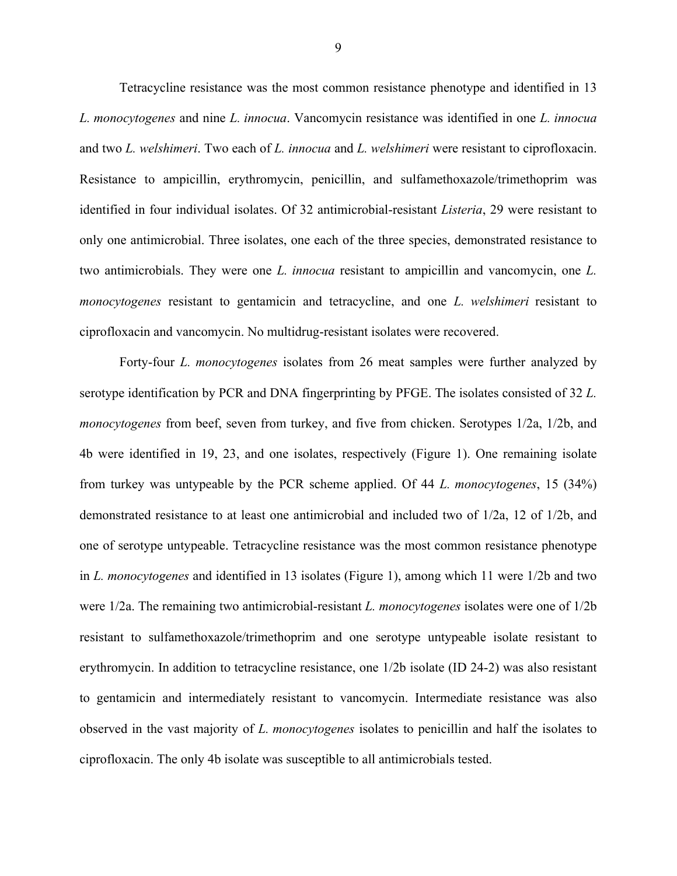Tetracycline resistance was the most common resistance phenotype and identified in 13 *L. monocytogenes* and nine *L. innocua*. Vancomycin resistance was identified in one *L. innocua* and two *L. welshimeri*. Two each of *L. innocua* and *L. welshimeri* were resistant to ciprofloxacin. Resistance to ampicillin, erythromycin, penicillin, and sulfamethoxazole/trimethoprim was identified in four individual isolates. Of 32 antimicrobial-resistant *Listeria*, 29 were resistant to only one antimicrobial. Three isolates, one each of the three species, demonstrated resistance to two antimicrobials. They were one *L. innocua* resistant to ampicillin and vancomycin, one *L. monocytogenes* resistant to gentamicin and tetracycline, and one *L. welshimeri* resistant to ciprofloxacin and vancomycin. No multidrug-resistant isolates were recovered.

Forty-four *L. monocytogenes* isolates from 26 meat samples were further analyzed by serotype identification by PCR and DNA fingerprinting by PFGE. The isolates consisted of 32 *L. monocytogenes* from beef, seven from turkey, and five from chicken. Serotypes 1/2a, 1/2b, and 4b were identified in 19, 23, and one isolates, respectively (Figure 1). One remaining isolate from turkey was untypeable by the PCR scheme applied. Of 44 *L. monocytogenes*, 15 (34%) demonstrated resistance to at least one antimicrobial and included two of 1/2a, 12 of 1/2b, and one of serotype untypeable. Tetracycline resistance was the most common resistance phenotype in *L. monocytogenes* and identified in 13 isolates (Figure 1), among which 11 were 1/2b and two were 1/2a. The remaining two antimicrobial-resistant *L. monocytogenes* isolates were one of 1/2b resistant to sulfamethoxazole/trimethoprim and one serotype untypeable isolate resistant to erythromycin. In addition to tetracycline resistance, one 1/2b isolate (ID 24-2) was also resistant to gentamicin and intermediately resistant to vancomycin. Intermediate resistance was also observed in the vast majority of *L. monocytogenes* isolates to penicillin and half the isolates to ciprofloxacin. The only 4b isolate was susceptible to all antimicrobials tested.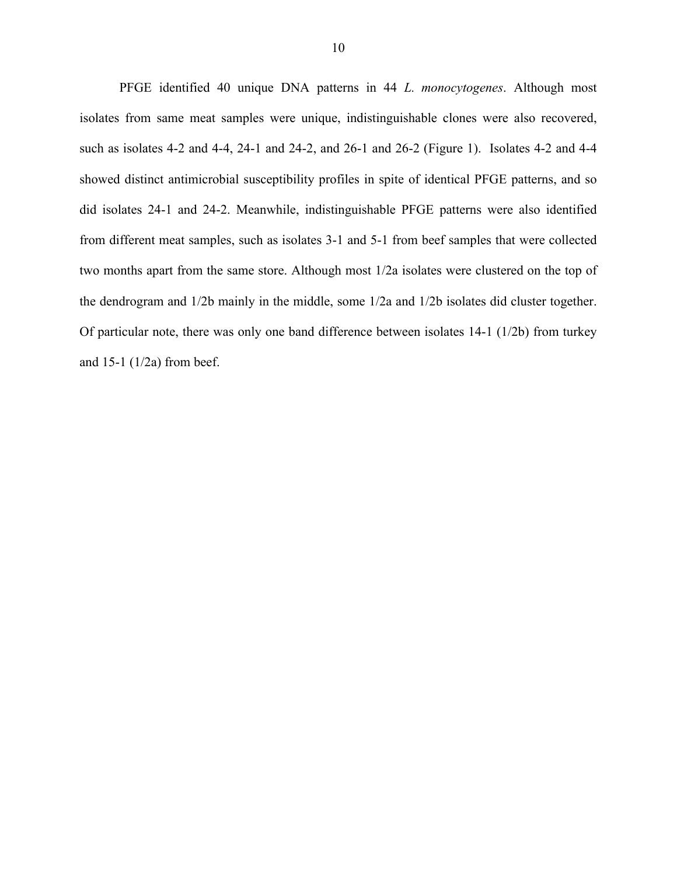PFGE identified 40 unique DNA patterns in 44 *L. monocytogenes*. Although most isolates from same meat samples were unique, indistinguishable clones were also recovered, such as isolates 4-2 and 4-4, 24-1 and 24-2, and 26-1 and 26-2 (Figure 1). Isolates 4-2 and 4-4 showed distinct antimicrobial susceptibility profiles in spite of identical PFGE patterns, and so did isolates 24-1 and 24-2. Meanwhile, indistinguishable PFGE patterns were also identified from different meat samples, such as isolates 3-1 and 5-1 from beef samples that were collected two months apart from the same store. Although most 1/2a isolates were clustered on the top of the dendrogram and 1/2b mainly in the middle, some 1/2a and 1/2b isolates did cluster together. Of particular note, there was only one band difference between isolates 14-1 (1/2b) from turkey and  $15-1$  ( $1/2a$ ) from beef.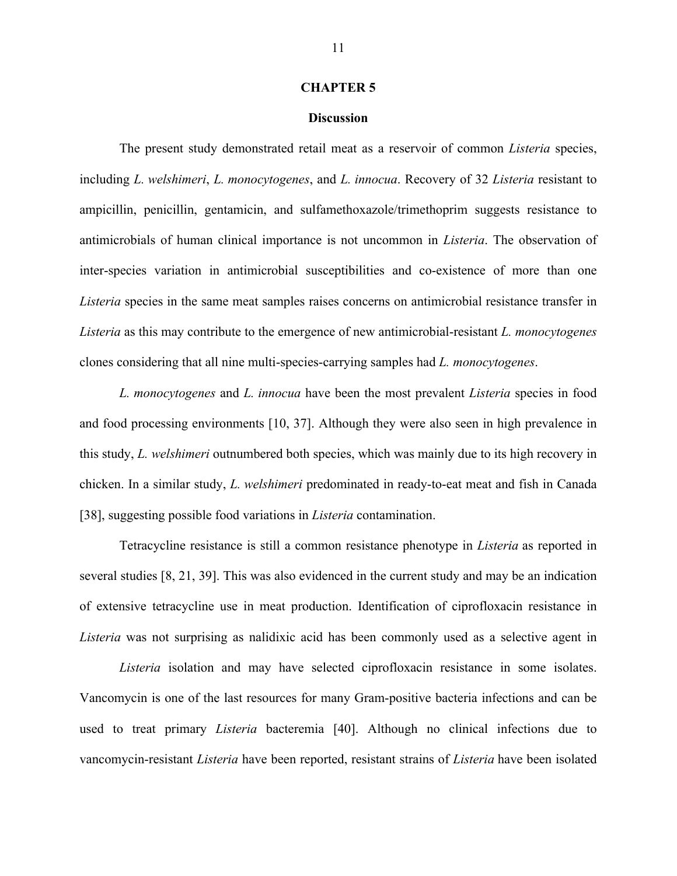#### **Discussion**

The present study demonstrated retail meat as a reservoir of common *Listeria* species, including *L. welshimeri*, *L. monocytogenes*, and *L. innocua*. Recovery of 32 *Listeria* resistant to ampicillin, penicillin, gentamicin, and sulfamethoxazole/trimethoprim suggests resistance to antimicrobials of human clinical importance is not uncommon in *Listeria*. The observation of inter-species variation in antimicrobial susceptibilities and co-existence of more than one *Listeria* species in the same meat samples raises concerns on antimicrobial resistance transfer in *Listeria* as this may contribute to the emergence of new antimicrobial-resistant *L. monocytogenes* clones considering that all nine multi-species-carrying samples had *L. monocytogenes*.

*L. monocytogenes* and *L. innocua* have been the most prevalent *Listeria* species in food and food processing environments [10, 37]. Although they were also seen in high prevalence in this study, *L. welshimeri* outnumbered both species, which was mainly due to its high recovery in chicken. In a similar study, *L. welshimeri* predominated in ready-to-eat meat and fish in Canada [38], suggesting possible food variations in *Listeria* contamination.

Tetracycline resistance is still a common resistance phenotype in *Listeria* as reported in several studies [8, 21, 39]. This was also evidenced in the current study and may be an indication of extensive tetracycline use in meat production. Identification of ciprofloxacin resistance in *Listeria* was not surprising as nalidixic acid has been commonly used as a selective agent in

*Listeria* isolation and may have selected ciprofloxacin resistance in some isolates. Vancomycin is one of the last resources for many Gram-positive bacteria infections and can be used to treat primary *Listeria* bacteremia [40]. Although no clinical infections due to vancomycin-resistant *Listeria* have been reported, resistant strains of *Listeria* have been isolated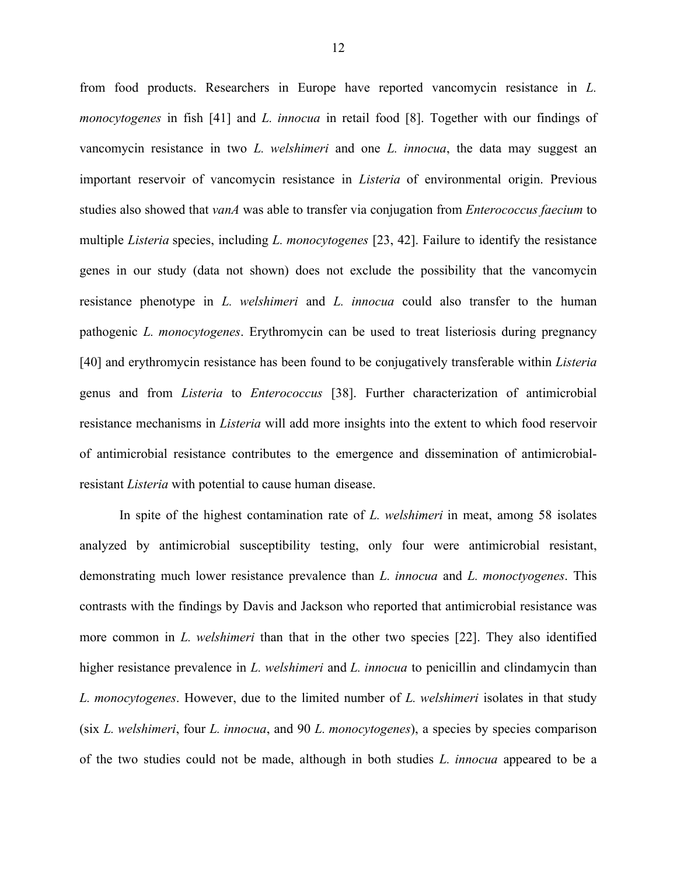from food products. Researchers in Europe have reported vancomycin resistance in *L. monocytogenes* in fish [41] and *L. innocua* in retail food [8]. Together with our findings of vancomycin resistance in two *L. welshimeri* and one *L. innocua*, the data may suggest an important reservoir of vancomycin resistance in *Listeria* of environmental origin. Previous studies also showed that *vanA* was able to transfer via conjugation from *Enterococcus faecium* to multiple *Listeria* species, including *L. monocytogenes* [23, 42]. Failure to identify the resistance genes in our study (data not shown) does not exclude the possibility that the vancomycin resistance phenotype in *L. welshimeri* and *L. innocua* could also transfer to the human pathogenic *L. monocytogenes*. Erythromycin can be used to treat listeriosis during pregnancy [40] and erythromycin resistance has been found to be conjugatively transferable within *Listeria* genus and from *Listeria* to *Enterococcus* [38]. Further characterization of antimicrobial resistance mechanisms in *Listeria* will add more insights into the extent to which food reservoir of antimicrobial resistance contributes to the emergence and dissemination of antimicrobialresistant *Listeria* with potential to cause human disease.

In spite of the highest contamination rate of *L. welshimeri* in meat, among 58 isolates analyzed by antimicrobial susceptibility testing, only four were antimicrobial resistant, demonstrating much lower resistance prevalence than *L. innocua* and *L. monoctyogenes*. This contrasts with the findings by Davis and Jackson who reported that antimicrobial resistance was more common in *L. welshimeri* than that in the other two species [22]. They also identified higher resistance prevalence in *L. welshimeri* and *L. innocua* to penicillin and clindamycin than *L. monocytogenes*. However, due to the limited number of *L. welshimeri* isolates in that study (six *L. welshimeri*, four *L. innocua*, and 90 *L. monocytogenes*), a species by species comparison of the two studies could not be made, although in both studies *L. innocua* appeared to be a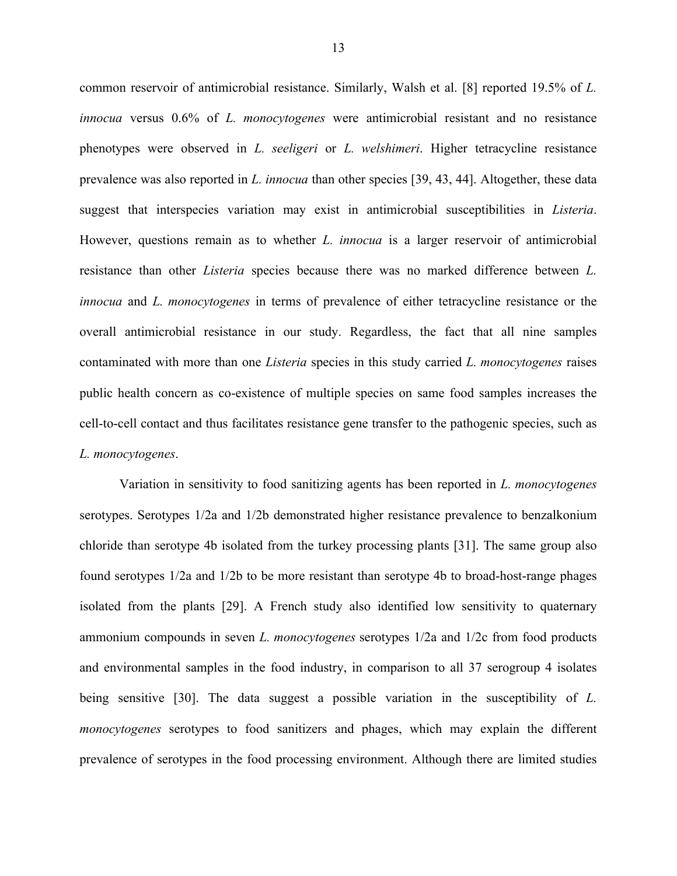common reservoir of antimicrobial resistance. Similarly, Walsh et al. [8] reported 19.5% of *L. innocua* versus 0.6% of *L. monocytogenes* were antimicrobial resistant and no resistance phenotypes were observed in *L. seeligeri* or *L. welshimeri*. Higher tetracycline resistance prevalence was also reported in *L. innocua* than other species [39, 43, 44]. Altogether, these data suggest that interspecies variation may exist in antimicrobial susceptibilities in *Listeria*. However, questions remain as to whether *L. innocua* is a larger reservoir of antimicrobial resistance than other *Listeria* species because there was no marked difference between *L. innocua* and *L. monocytogenes* in terms of prevalence of either tetracycline resistance or the overall antimicrobial resistance in our study. Regardless, the fact that all nine samples contaminated with more than one *Listeria* species in this study carried *L. monocytogenes* raises public health concern as co-existence of multiple species on same food samples increases the cell-to-cell contact and thus facilitates resistance gene transfer to the pathogenic species, such as *L. monocytogenes*.

Variation in sensitivity to food sanitizing agents has been reported in *L. monocytogenes* serotypes. Serotypes 1/2a and 1/2b demonstrated higher resistance prevalence to benzalkonium chloride than serotype 4b isolated from the turkey processing plants [31]. The same group also found serotypes 1/2a and 1/2b to be more resistant than serotype 4b to broad-host-range phages isolated from the plants [29]. A French study also identified low sensitivity to quaternary ammonium compounds in seven *L. monocytogenes* serotypes 1/2a and 1/2c from food products and environmental samples in the food industry, in comparison to all 37 serogroup 4 isolates being sensitive [30]. The data suggest a possible variation in the susceptibility of *L. monocytogenes* serotypes to food sanitizers and phages, which may explain the different prevalence of serotypes in the food processing environment. Although there are limited studies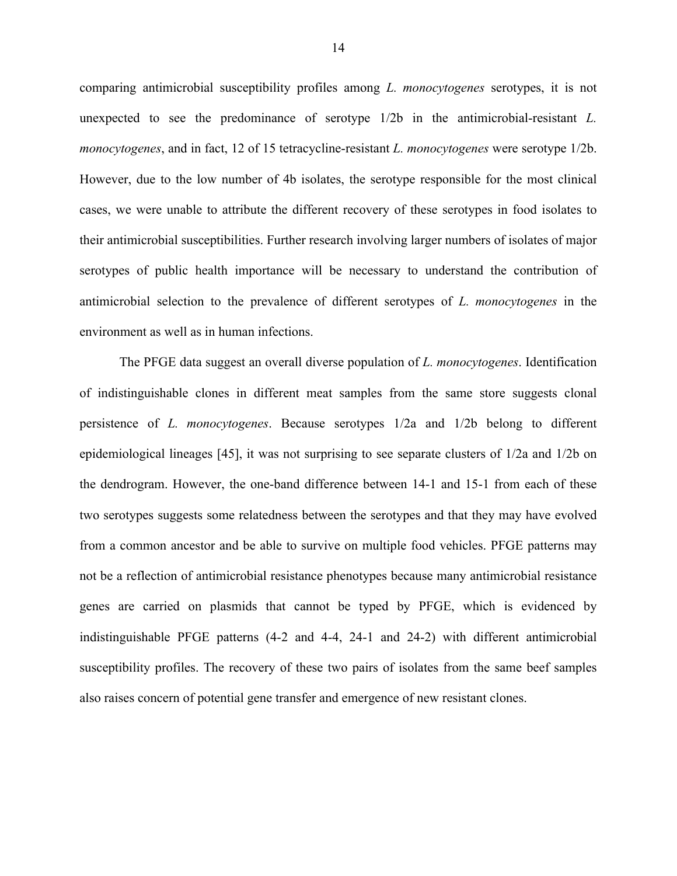comparing antimicrobial susceptibility profiles among *L. monocytogenes* serotypes, it is not unexpected to see the predominance of serotype 1/2b in the antimicrobial-resistant *L. monocytogenes*, and in fact, 12 of 15 tetracycline-resistant *L. monocytogenes* were serotype 1/2b. However, due to the low number of 4b isolates, the serotype responsible for the most clinical cases, we were unable to attribute the different recovery of these serotypes in food isolates to their antimicrobial susceptibilities. Further research involving larger numbers of isolates of major serotypes of public health importance will be necessary to understand the contribution of antimicrobial selection to the prevalence of different serotypes of *L. monocytogenes* in the environment as well as in human infections.

The PFGE data suggest an overall diverse population of *L. monocytogenes*. Identification of indistinguishable clones in different meat samples from the same store suggests clonal persistence of *L. monocytogenes*. Because serotypes 1/2a and 1/2b belong to different epidemiological lineages [45], it was not surprising to see separate clusters of 1/2a and 1/2b on the dendrogram. However, the one-band difference between 14-1 and 15-1 from each of these two serotypes suggests some relatedness between the serotypes and that they may have evolved from a common ancestor and be able to survive on multiple food vehicles. PFGE patterns may not be a reflection of antimicrobial resistance phenotypes because many antimicrobial resistance genes are carried on plasmids that cannot be typed by PFGE, which is evidenced by indistinguishable PFGE patterns (4-2 and 4-4, 24-1 and 24-2) with different antimicrobial susceptibility profiles. The recovery of these two pairs of isolates from the same beef samples also raises concern of potential gene transfer and emergence of new resistant clones.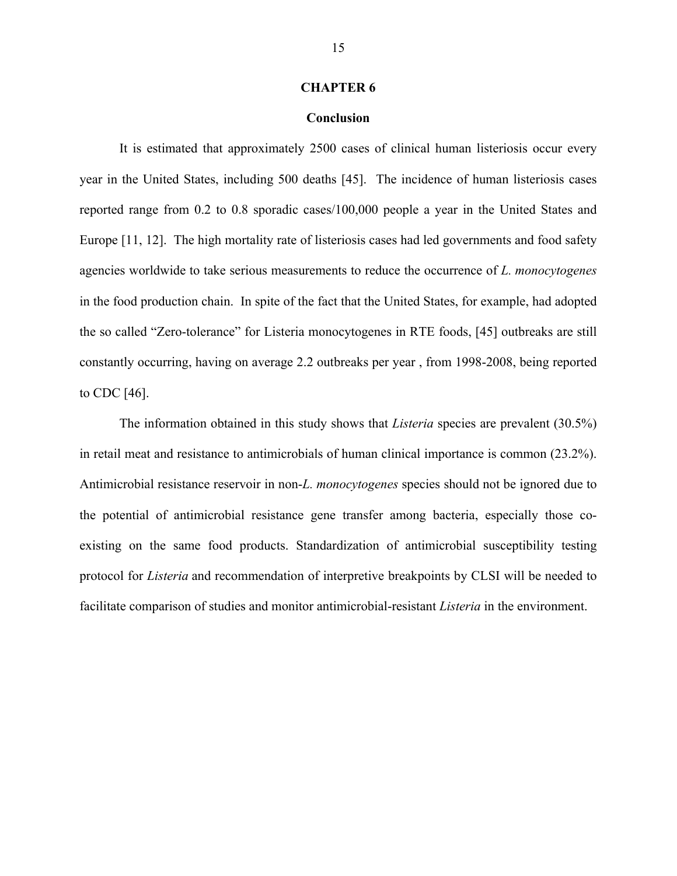#### **Conclusion**

It is estimated that approximately 2500 cases of clinical human listeriosis occur every year in the United States, including 500 deaths [45]. The incidence of human listeriosis cases reported range from 0.2 to 0.8 sporadic cases/100,000 people a year in the United States and Europe [11, 12]. The high mortality rate of listeriosis cases had led governments and food safety agencies worldwide to take serious measurements to reduce the occurrence of *L. monocytogenes* in the food production chain. In spite of the fact that the United States, for example, had adopted the so called "Zero-tolerance" for Listeria monocytogenes in RTE foods, [45] outbreaks are still constantly occurring, having on average 2.2 outbreaks per year , from 1998-2008, being reported to CDC [46].

The information obtained in this study shows that *Listeria* species are prevalent (30.5%) in retail meat and resistance to antimicrobials of human clinical importance is common (23.2%). Antimicrobial resistance reservoir in non-*L. monocytogenes* species should not be ignored due to the potential of antimicrobial resistance gene transfer among bacteria, especially those coexisting on the same food products. Standardization of antimicrobial susceptibility testing protocol for *Listeria* and recommendation of interpretive breakpoints by CLSI will be needed to facilitate comparison of studies and monitor antimicrobial-resistant *Listeria* in the environment.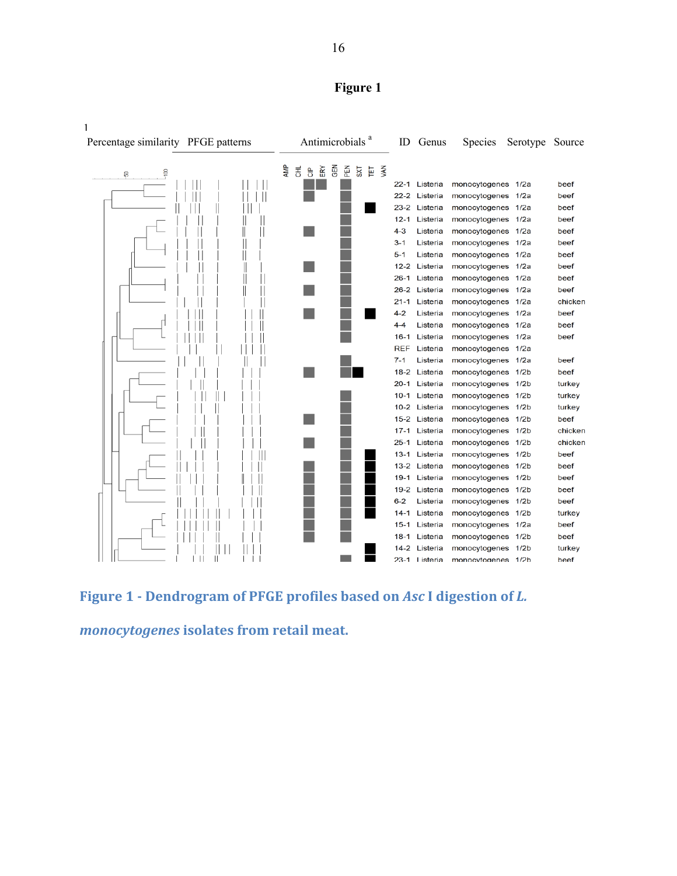



Figure 1 - Dendrogram of PFGE profiles based on *Asc* I digestion of *L.* 

*monocytogenes isolates* from retail meat.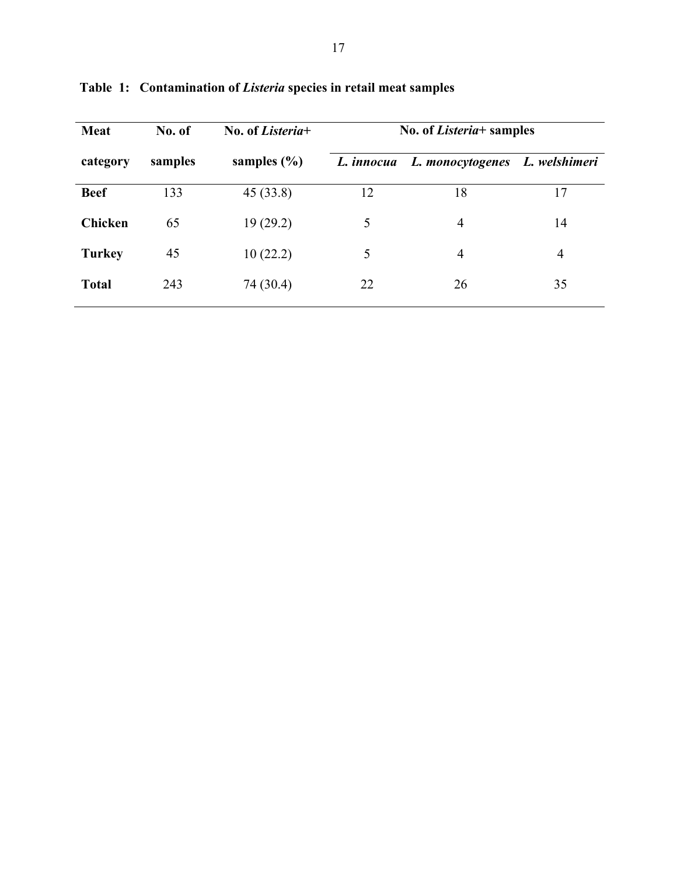| <b>Meat</b>   | No. of  | No. of Listeria+ | No. of <i>Listeria</i> + samples |                  |               |  |
|---------------|---------|------------------|----------------------------------|------------------|---------------|--|
| category      | samples | samples $(\% )$  | L. <i>innocua</i>                | L. monocytogenes | L. welshimeri |  |
| <b>Beef</b>   | 133     | 45(33.8)         | 12                               | 18               | 17            |  |
| Chicken       | 65      | 19(29.2)         | 5                                | $\overline{4}$   | 14            |  |
| <b>Turkey</b> | 45      | 10(22.2)         | 5                                | $\overline{4}$   | 4             |  |
| <b>Total</b>  | 243     | 74 (30.4)        | 22                               | 26               | 35            |  |
|               |         |                  |                                  |                  |               |  |

**Table 1: Contamination of** *Listeria* **species in retail meat samples**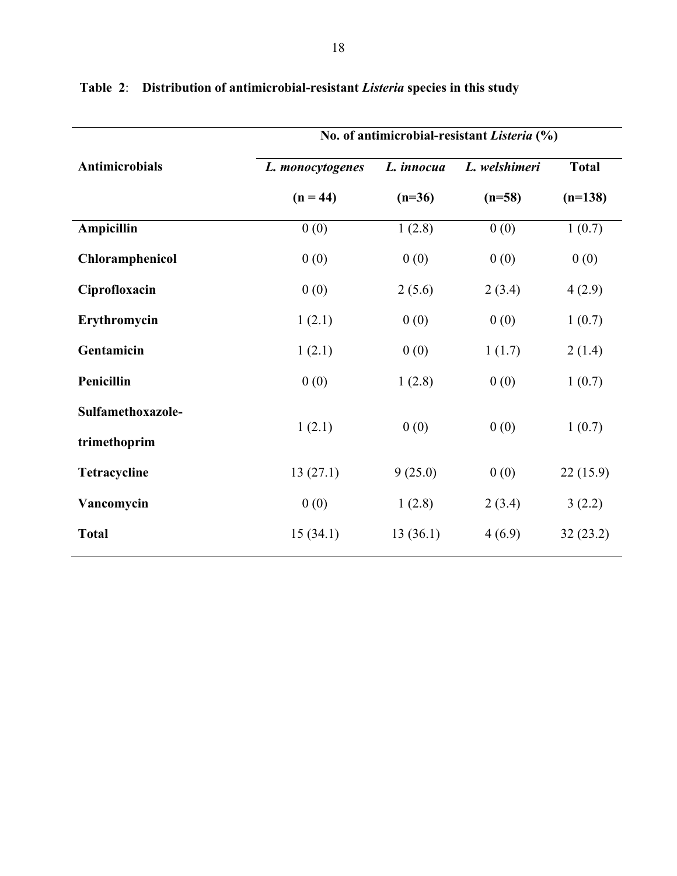|                       | No. of antimicrobial-resistant Listeria (%) |            |               |              |  |  |  |
|-----------------------|---------------------------------------------|------------|---------------|--------------|--|--|--|
| <b>Antimicrobials</b> | L. monocytogenes                            | L. innocua | L. welshimeri | <b>Total</b> |  |  |  |
|                       | $(n = 44)$                                  | $(n=36)$   | $(n=58)$      | $(n=138)$    |  |  |  |
| Ampicillin            | 0(0)                                        | 1(2.8)     | 0(0)          | 1(0.7)       |  |  |  |
| Chloramphenicol       | 0(0)                                        | 0(0)       | 0(0)          | 0(0)         |  |  |  |
| Ciprofloxacin         | 0(0)                                        | 2(5.6)     | 2(3.4)        | 4(2.9)       |  |  |  |
| Erythromycin          | 1(2.1)                                      | 0(0)       | 0(0)          | 1(0.7)       |  |  |  |
| Gentamicin            | 1(2.1)                                      | 0(0)       | 1(1.7)        | 2(1.4)       |  |  |  |
| Penicillin            | 0(0)                                        | 1(2.8)     | 0(0)          | 1(0.7)       |  |  |  |
| Sulfamethoxazole-     |                                             |            |               |              |  |  |  |
| trimethoprim          | 1(2.1)                                      | 0(0)       | 0(0)          | 1(0.7)       |  |  |  |
| Tetracycline          | 13(27.1)                                    | 9(25.0)    | 0(0)          | 22(15.9)     |  |  |  |
| Vancomycin            | 0(0)                                        | 1(2.8)     | 2(3.4)        | 3(2.2)       |  |  |  |
| <b>Total</b>          | 15(34.1)                                    | 13(36.1)   | 4(6.9)        | 32(23.2)     |  |  |  |
|                       |                                             |            |               |              |  |  |  |

**Table 2**: **Distribution of antimicrobial-resistant** *Listeria* **species in this study**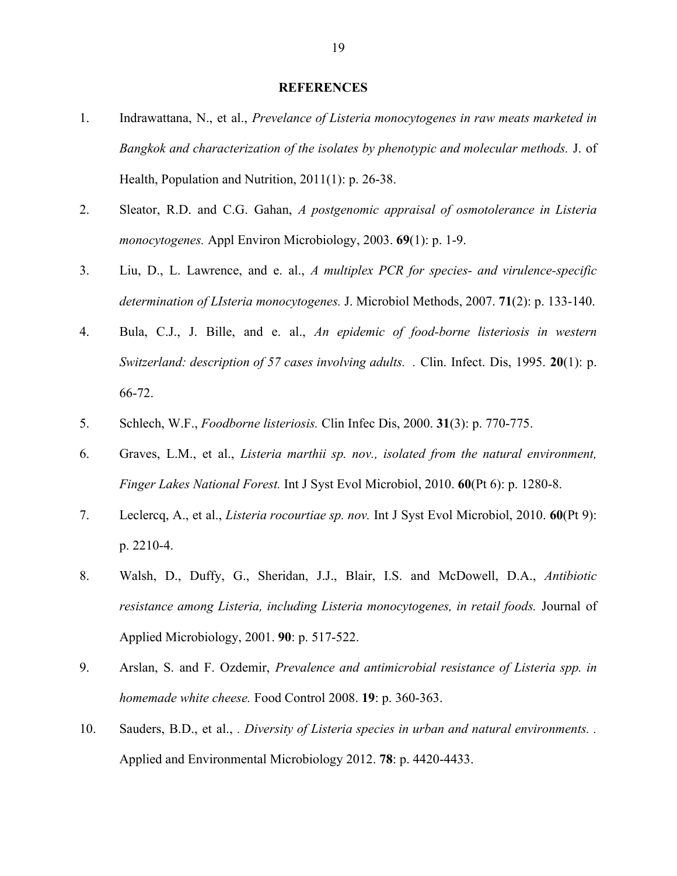#### **REFERENCES**

- 1. Indrawattana, N., et al., *Prevelance of Listeria monocytogenes in raw meats marketed in Bangkok and characterization of the isolates by phenotypic and molecular methods.* J. of Health, Population and Nutrition, 2011(1): p. 26-38.
- 2. Sleator, R.D. and C.G. Gahan, *A postgenomic appraisal of osmotolerance in Listeria monocytogenes.* Appl Environ Microbiology, 2003. **69**(1): p. 1-9.
- 3. Liu, D., L. Lawrence, and e. al., *A multiplex PCR for species- and virulence-specific determination of LIsteria monocytogenes.* J. Microbiol Methods, 2007. **71**(2): p. 133-140.
- 4. Bula, C.J., J. Bille, and e. al., *An epidemic of food-borne listeriosis in western Switzerland: description of 57 cases involving adults. .* Clin. Infect. Dis, 1995. **20**(1): p. 66-72.
- 5. Schlech, W.F., *Foodborne listeriosis.* Clin Infec Dis, 2000. **31**(3): p. 770-775.
- 6. Graves, L.M., et al., *Listeria marthii sp. nov., isolated from the natural environment, Finger Lakes National Forest.* Int J Syst Evol Microbiol, 2010. **60**(Pt 6): p. 1280-8.
- 7. Leclercq, A., et al., *Listeria rocourtiae sp. nov.* Int J Syst Evol Microbiol, 2010. **60**(Pt 9): p. 2210-4.
- 8. Walsh, D., Duffy, G., Sheridan, J.J., Blair, I.S. and McDowell, D.A., *Antibiotic resistance among Listeria, including Listeria monocytogenes, in retail foods.* Journal of Applied Microbiology, 2001. **90**: p. 517-522.
- 9. Arslan, S. and F. Ozdemir, *Prevalence and antimicrobial resistance of Listeria spp. in homemade white cheese.* Food Control 2008. **19**: p. 360-363.
- 10. Sauders, B.D., et al., *. Diversity of Listeria species in urban and natural environments. .* Applied and Environmental Microbiology 2012. **78**: p. 4420-4433.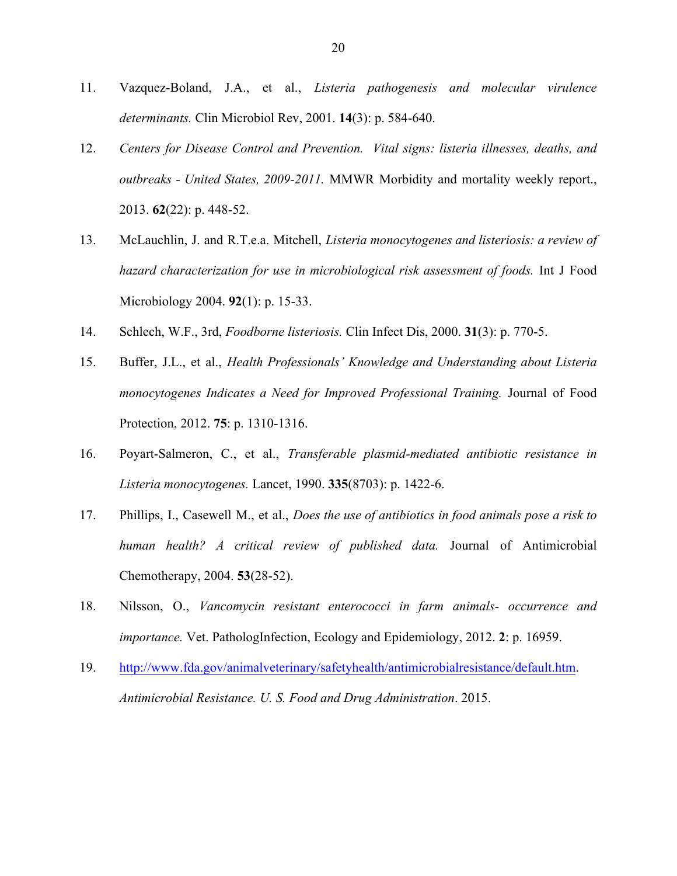- 11. Vazquez-Boland, J.A., et al., *Listeria pathogenesis and molecular virulence determinants.* Clin Microbiol Rev, 2001. **14**(3): p. 584-640.
- 12. *Centers for Disease Control and Prevention. Vital signs: listeria illnesses, deaths, and outbreaks - United States, 2009-2011.* MMWR Morbidity and mortality weekly report., 2013. **62**(22): p. 448-52.
- 13. McLauchlin, J. and R.T.e.a. Mitchell, *Listeria monocytogenes and listeriosis: a review of hazard characterization for use in microbiological risk assessment of foods.* Int J Food Microbiology 2004. **92**(1): p. 15-33.
- 14. Schlech, W.F., 3rd, *Foodborne listeriosis.* Clin Infect Dis, 2000. **31**(3): p. 770-5.
- 15. Buffer, J.L., et al., *Health Professionals' Knowledge and Understanding about Listeria monocytogenes Indicates a Need for Improved Professional Training.* Journal of Food Protection, 2012. **75**: p. 1310-1316.
- 16. Poyart-Salmeron, C., et al., *Transferable plasmid-mediated antibiotic resistance in Listeria monocytogenes.* Lancet, 1990. **335**(8703): p. 1422-6.
- 17. Phillips, I., Casewell M., et al., *Does the use of antibiotics in food animals pose a risk to human health? A critical review of published data.* Journal of Antimicrobial Chemotherapy, 2004. **53**(28-52).
- 18. Nilsson, O., *Vancomycin resistant enterococci in farm animals- occurrence and importance.* Vet. PathologInfection, Ecology and Epidemiology, 2012. **2**: p. 16959.
- 19. http://www.fda.gov/animalveterinary/safetyhealth/antimicrobialresistance/default.htm. *Antimicrobial Resistance. U. S. Food and Drug Administration*. 2015.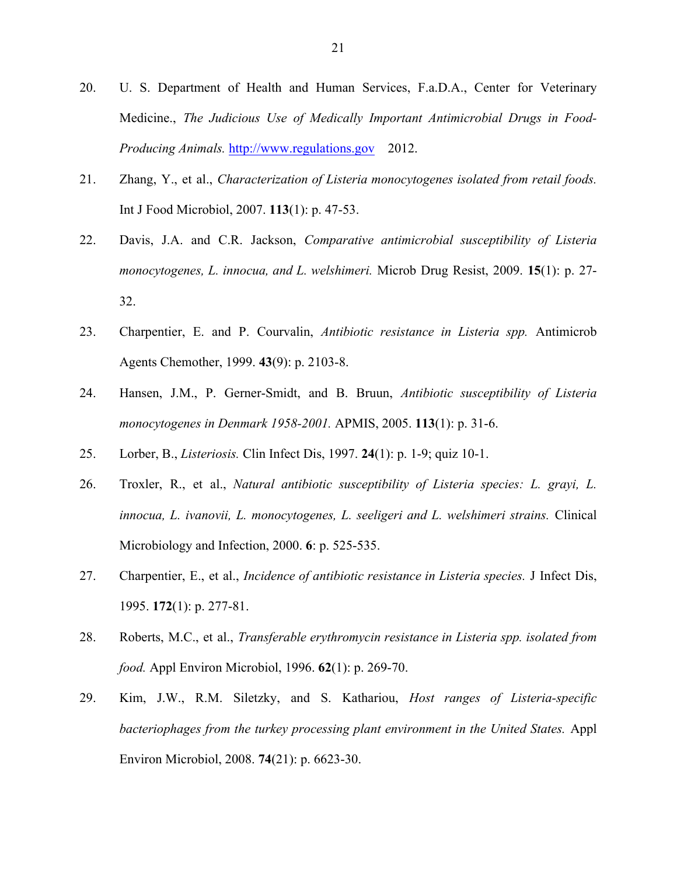- 20. U. S. Department of Health and Human Services, F.a.D.A., Center for Veterinary Medicine., *The Judicious Use of Medically Important Antimicrobial Drugs in Food-Producing Animals.* http://www.regulations.gov 2012.
- 21. Zhang, Y., et al., *Characterization of Listeria monocytogenes isolated from retail foods.* Int J Food Microbiol, 2007. **113**(1): p. 47-53.
- 22. Davis, J.A. and C.R. Jackson, *Comparative antimicrobial susceptibility of Listeria monocytogenes, L. innocua, and L. welshimeri.* Microb Drug Resist, 2009. **15**(1): p. 27- 32.
- 23. Charpentier, E. and P. Courvalin, *Antibiotic resistance in Listeria spp.* Antimicrob Agents Chemother, 1999. **43**(9): p. 2103-8.
- 24. Hansen, J.M., P. Gerner-Smidt, and B. Bruun, *Antibiotic susceptibility of Listeria monocytogenes in Denmark 1958-2001.* APMIS, 2005. **113**(1): p. 31-6.
- 25. Lorber, B., *Listeriosis.* Clin Infect Dis, 1997. **24**(1): p. 1-9; quiz 10-1.
- 26. Troxler, R., et al., *Natural antibiotic susceptibility of Listeria species: L. grayi, L. innocua, L. ivanovii, L. monocytogenes, L. seeligeri and L. welshimeri strains.* Clinical Microbiology and Infection, 2000. **6**: p. 525-535.
- 27. Charpentier, E., et al., *Incidence of antibiotic resistance in Listeria species.* J Infect Dis, 1995. **172**(1): p. 277-81.
- 28. Roberts, M.C., et al., *Transferable erythromycin resistance in Listeria spp. isolated from food.* Appl Environ Microbiol, 1996. **62**(1): p. 269-70.
- 29. Kim, J.W., R.M. Siletzky, and S. Kathariou, *Host ranges of Listeria-specific bacteriophages from the turkey processing plant environment in the United States.* Appl Environ Microbiol, 2008. **74**(21): p. 6623-30.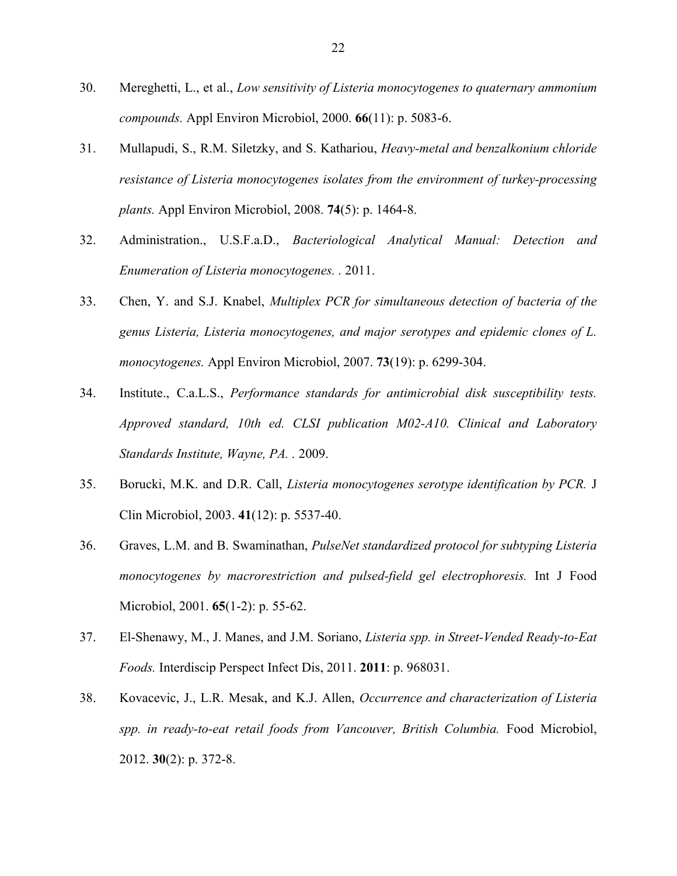- 30. Mereghetti, L., et al., *Low sensitivity of Listeria monocytogenes to quaternary ammonium compounds.* Appl Environ Microbiol, 2000. **66**(11): p. 5083-6.
- 31. Mullapudi, S., R.M. Siletzky, and S. Kathariou, *Heavy-metal and benzalkonium chloride resistance of Listeria monocytogenes isolates from the environment of turkey-processing plants.* Appl Environ Microbiol, 2008. **74**(5): p. 1464-8.
- 32. Administration., U.S.F.a.D., *Bacteriological Analytical Manual: Detection and Enumeration of Listeria monocytogenes. .* 2011.
- 33. Chen, Y. and S.J. Knabel, *Multiplex PCR for simultaneous detection of bacteria of the genus Listeria, Listeria monocytogenes, and major serotypes and epidemic clones of L. monocytogenes.* Appl Environ Microbiol, 2007. **73**(19): p. 6299-304.
- 34. Institute., C.a.L.S., *Performance standards for antimicrobial disk susceptibility tests. Approved standard, 10th ed. CLSI publication M02-A10. Clinical and Laboratory Standards Institute, Wayne, PA. .* 2009.
- 35. Borucki, M.K. and D.R. Call, *Listeria monocytogenes serotype identification by PCR.* J Clin Microbiol, 2003. **41**(12): p. 5537-40.
- 36. Graves, L.M. and B. Swaminathan, *PulseNet standardized protocol for subtyping Listeria monocytogenes by macrorestriction and pulsed-field gel electrophoresis.* Int J Food Microbiol, 2001. **65**(1-2): p. 55-62.
- 37. El-Shenawy, M., J. Manes, and J.M. Soriano, *Listeria spp. in Street-Vended Ready-to-Eat Foods.* Interdiscip Perspect Infect Dis, 2011. **2011**: p. 968031.
- 38. Kovacevic, J., L.R. Mesak, and K.J. Allen, *Occurrence and characterization of Listeria spp. in ready-to-eat retail foods from Vancouver, British Columbia.* Food Microbiol, 2012. **30**(2): p. 372-8.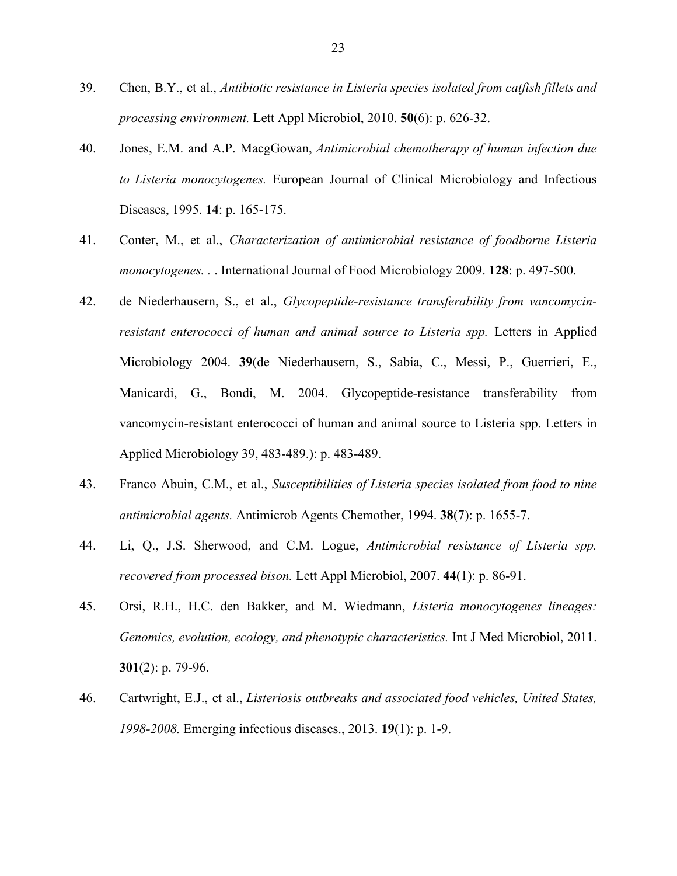- 39. Chen, B.Y., et al., *Antibiotic resistance in Listeria species isolated from catfish fillets and processing environment.* Lett Appl Microbiol, 2010. **50**(6): p. 626-32.
- 40. Jones, E.M. and A.P. MacgGowan, *Antimicrobial chemotherapy of human infection due to Listeria monocytogenes.* European Journal of Clinical Microbiology and Infectious Diseases, 1995. **14**: p. 165-175.
- 41. Conter, M., et al., *Characterization of antimicrobial resistance of foodborne Listeria monocytogenes. .* . International Journal of Food Microbiology 2009. **128**: p. 497-500.
- 42. de Niederhausern, S., et al., *Glycopeptide-resistance transferability from vancomycinresistant enterococci of human and animal source to Listeria spp.* Letters in Applied Microbiology 2004. **39**(de Niederhausern, S., Sabia, C., Messi, P., Guerrieri, E., Manicardi, G., Bondi, M. 2004. Glycopeptide-resistance transferability from vancomycin-resistant enterococci of human and animal source to Listeria spp. Letters in Applied Microbiology 39, 483-489.): p. 483-489.
- 43. Franco Abuin, C.M., et al., *Susceptibilities of Listeria species isolated from food to nine antimicrobial agents.* Antimicrob Agents Chemother, 1994. **38**(7): p. 1655-7.
- 44. Li, Q., J.S. Sherwood, and C.M. Logue, *Antimicrobial resistance of Listeria spp. recovered from processed bison.* Lett Appl Microbiol, 2007. **44**(1): p. 86-91.
- 45. Orsi, R.H., H.C. den Bakker, and M. Wiedmann, *Listeria monocytogenes lineages: Genomics, evolution, ecology, and phenotypic characteristics.* Int J Med Microbiol, 2011. **301**(2): p. 79-96.
- 46. Cartwright, E.J., et al., *Listeriosis outbreaks and associated food vehicles, United States, 1998-2008.* Emerging infectious diseases., 2013. **19**(1): p. 1-9.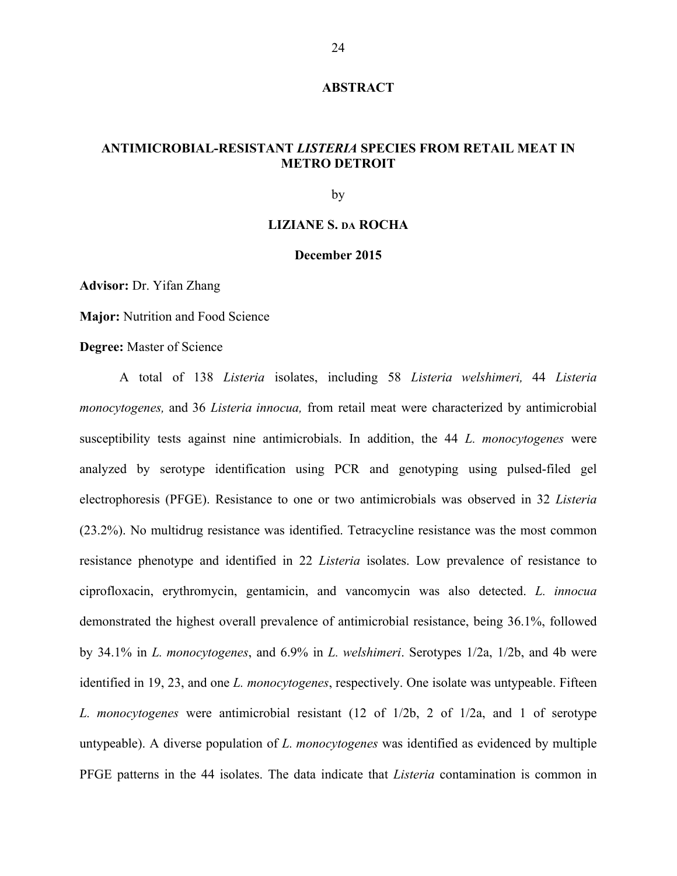#### **ABSTRACT**

## **ANTIMICROBIAL-RESISTANT** *LISTERIA* **SPECIES FROM RETAIL MEAT IN METRO DETROIT**

by

#### **LIZIANE S. DA ROCHA**

#### **December 2015**

**Advisor:** Dr. Yifan Zhang

**Major:** Nutrition and Food Science

**Degree:** Master of Science

A total of 138 *Listeria* isolates, including 58 *Listeria welshimeri,* 44 *Listeria monocytogenes,* and 36 *Listeria innocua,* from retail meat were characterized by antimicrobial susceptibility tests against nine antimicrobials. In addition, the 44 *L. monocytogenes* were analyzed by serotype identification using PCR and genotyping using pulsed-filed gel electrophoresis (PFGE). Resistance to one or two antimicrobials was observed in 32 *Listeria* (23.2%). No multidrug resistance was identified. Tetracycline resistance was the most common resistance phenotype and identified in 22 *Listeria* isolates. Low prevalence of resistance to ciprofloxacin, erythromycin, gentamicin, and vancomycin was also detected. *L. innocua* demonstrated the highest overall prevalence of antimicrobial resistance, being 36.1%, followed by 34.1% in *L. monocytogenes*, and 6.9% in *L. welshimeri*. Serotypes 1/2a, 1/2b, and 4b were identified in 19, 23, and one *L. monocytogenes*, respectively. One isolate was untypeable. Fifteen *L. monocytogenes* were antimicrobial resistant (12 of 1/2b, 2 of 1/2a, and 1 of serotype untypeable). A diverse population of *L. monocytogenes* was identified as evidenced by multiple PFGE patterns in the 44 isolates. The data indicate that *Listeria* contamination is common in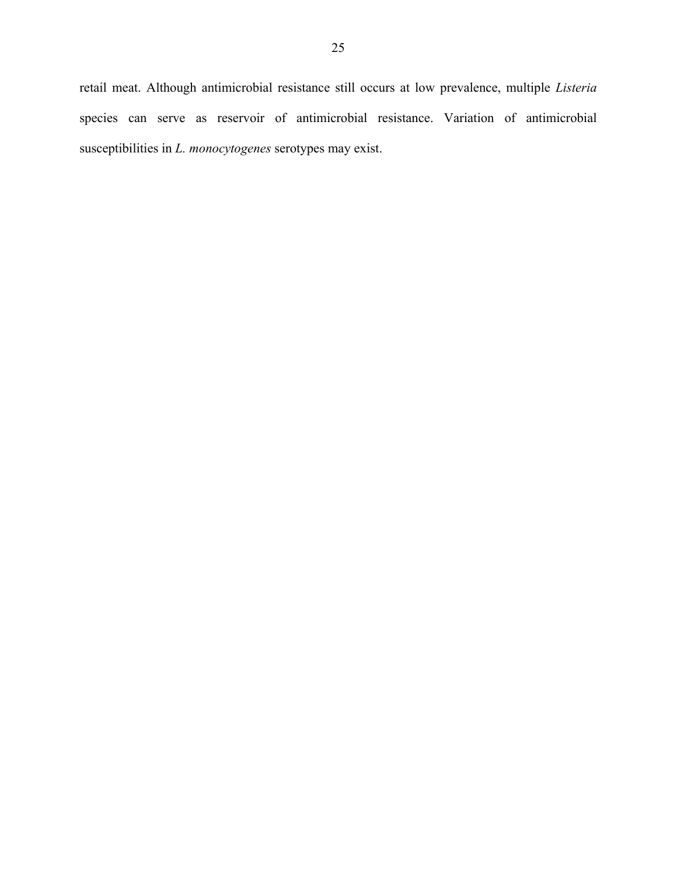retail meat. Although antimicrobial resistance still occurs at low prevalence, multiple *Listeria* species can serve as reservoir of antimicrobial resistance. Variation of antimicrobial susceptibilities in *L. monocytogenes* serotypes may exist.